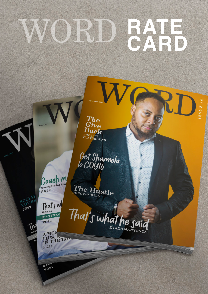## **RATE** W

The<br>Give<br>Back PROJECT<br>PLAYGROUND  $S S U E I$ 

Get Shamiela<br>to COYI6



The Hustle

That's w Featuring RYAN STRAM

 $P<sub>614</sub>$ 

Featuring PG31

SOCIA

PG22

<u>N</u>

That's what he said

A MONTHERAPT  $pG24$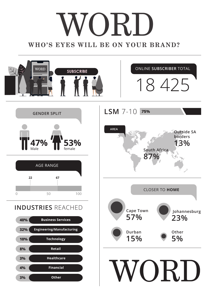# ORI. **WHO'S EYES WILL BE ON YOUR BRAND?**